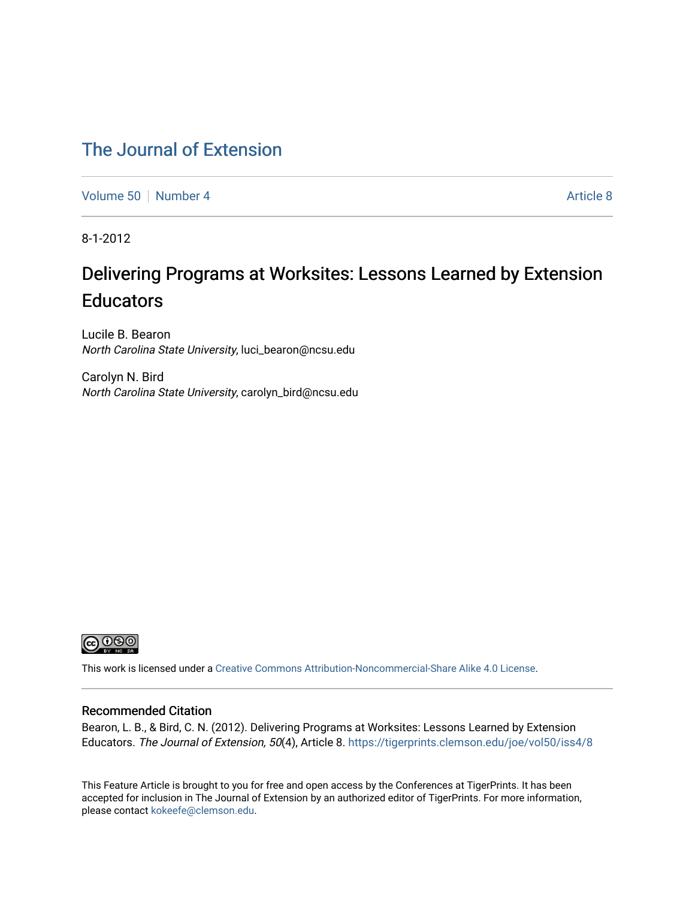## [The Journal of Extension](https://tigerprints.clemson.edu/joe)

[Volume 50](https://tigerprints.clemson.edu/joe/vol50) [Number 4](https://tigerprints.clemson.edu/joe/vol50/iss4) [Article 8](https://tigerprints.clemson.edu/joe/vol50/iss4/8) Article 8

8-1-2012

# Delivering Programs at Worksites: Lessons Learned by Extension **Educators**

Lucile B. Bearon North Carolina State University, luci\_bearon@ncsu.edu

Carolyn N. Bird North Carolina State University, carolyn\_bird@ncsu.edu



This work is licensed under a [Creative Commons Attribution-Noncommercial-Share Alike 4.0 License.](https://creativecommons.org/licenses/by-nc-sa/4.0/)

#### Recommended Citation

Bearon, L. B., & Bird, C. N. (2012). Delivering Programs at Worksites: Lessons Learned by Extension Educators. The Journal of Extension, 50(4), Article 8. <https://tigerprints.clemson.edu/joe/vol50/iss4/8>

This Feature Article is brought to you for free and open access by the Conferences at TigerPrints. It has been accepted for inclusion in The Journal of Extension by an authorized editor of TigerPrints. For more information, please contact [kokeefe@clemson.edu](mailto:kokeefe@clemson.edu).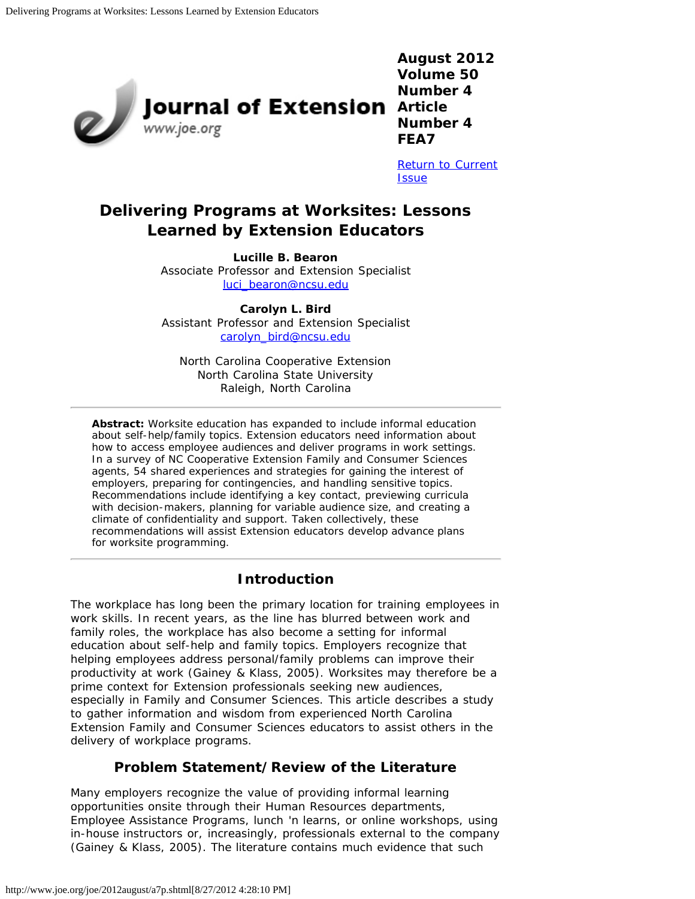

**August 2012 Volume 50 Number 4 Number 4 FEA7**

[Return to Current](http://www.joe.org/joe/2012august/) **[Issue](http://www.joe.org/joe/2012august/)** 

## **Delivering Programs at Worksites: Lessons Learned by Extension Educators**

#### **Lucille B. Bearon**

Associate Professor and Extension Specialist [luci\\_bearon@ncsu.edu](mailto:luci_bearon@ncsu.edu)

**Carolyn L. Bird** Assistant Professor and Extension Specialist [carolyn\\_bird@ncsu.edu](mailto:carolyn_bird@ncsu.edu)

North Carolina Cooperative Extension North Carolina State University Raleigh, North Carolina

*Abstract: Worksite education has expanded to include informal education about self-help/family topics. Extension educators need information about how to access employee audiences and deliver programs in work settings. In a survey of NC Cooperative Extension Family and Consumer Sciences agents, 54 shared experiences and strategies for gaining the interest of employers, preparing for contingencies, and handling sensitive topics. Recommendations include identifying a key contact, previewing curricula with decision-makers, planning for variable audience size, and creating a climate of confidentiality and support. Taken collectively, these recommendations will assist Extension educators develop advance plans for worksite programming.*

## **Introduction**

The workplace has long been the primary location for training employees in work skills. In recent years, as the line has blurred between work and family roles, the workplace has also become a setting for informal education about self-help and family topics. Employers recognize that helping employees address personal/family problems can improve their productivity at work (Gainey & Klass, 2005). Worksites may therefore be a prime context for Extension professionals seeking new audiences, especially in Family and Consumer Sciences. This article describes a study to gather information and wisdom from experienced North Carolina Extension Family and Consumer Sciences educators to assist others in the delivery of workplace programs.

## **Problem Statement/Review of the Literature**

Many employers recognize the value of providing informal learning opportunities onsite through their Human Resources departments, Employee Assistance Programs, lunch 'n learns, or online workshops, using in-house instructors or, increasingly, professionals external to the company (Gainey & Klass, 2005). The literature contains much evidence that such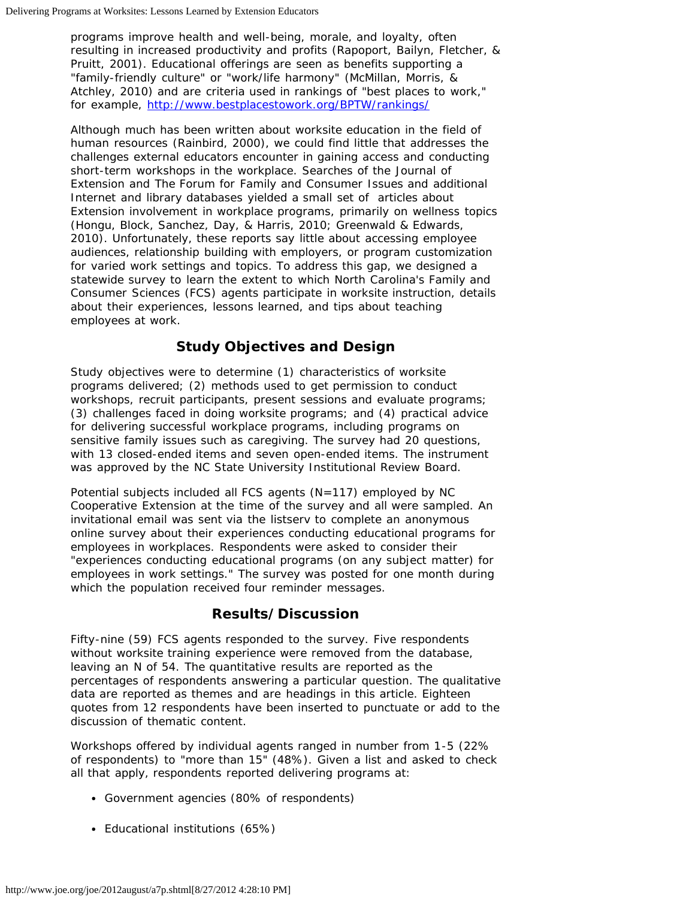programs improve health and well-being, morale, and loyalty, often resulting in increased productivity and profits (Rapoport, Bailyn, Fletcher, & Pruitt, 2001). Educational offerings are seen as benefits supporting a "family-friendly culture" or "work/life harmony" (McMillan, Morris, & Atchley, 2010) and are criteria used in rankings of "best places to work," for example, <http://www.bestplacestowork.org/BPTW/rankings/>

Although much has been written about worksite education in the field of human resources (Rainbird, 2000), we could find little that addresses the challenges external educators encounter in gaining access and conducting short-term workshops in the workplace. Searches of the *Journal of Extension* and *The Forum for Family and Consumer Issues* and additional Internet and library databases yielded a small set of articles about Extension involvement in workplace programs, primarily on wellness topics (Hongu, Block, Sanchez, Day, & Harris, 2010; Greenwald & Edwards, 2010). Unfortunately, these reports say little about accessing employee audiences, relationship building with employers, or program customization for varied work settings and topics. To address this gap, we designed a statewide survey to learn the extent to which North Carolina's Family and Consumer Sciences (FCS) agents participate in worksite instruction, details about their experiences, lessons learned, and tips about teaching employees at work.

## **Study Objectives and Design**

Study objectives were to determine (1) characteristics of worksite programs delivered; (2) methods used to get permission to conduct workshops, recruit participants, present sessions and evaluate programs; (3) challenges faced in doing worksite programs; and (4) practical advice for delivering successful workplace programs, including programs on sensitive family issues such as caregiving. The survey had 20 questions, with 13 closed-ended items and seven open-ended items. The instrument was approved by the NC State University Institutional Review Board.

Potential subjects included all FCS agents (N=117) employed by NC Cooperative Extension at the time of the survey and all were sampled. An invitational email was sent via the listserv to complete an anonymous online survey about their experiences conducting educational programs for employees in workplaces. Respondents were asked to consider their "experiences conducting educational programs (on any subject matter) for employees in work settings." The survey was posted for one month during which the population received four reminder messages.

## **Results/Discussion**

Fifty-nine (59) FCS agents responded to the survey. Five respondents without worksite training experience were removed from the database, leaving an N of 54. The quantitative results are reported as the percentages of respondents answering a particular question. The qualitative data are reported as themes and are headings in this article. Eighteen quotes from 12 respondents have been inserted to punctuate or add to the discussion of thematic content.

Workshops offered by individual agents ranged in number from 1-5 (22% of respondents) to "more than 15" (48%). Given a list and asked to check all that apply, respondents reported delivering programs at:

- Government agencies (80% of respondents)
- Educational institutions (65%)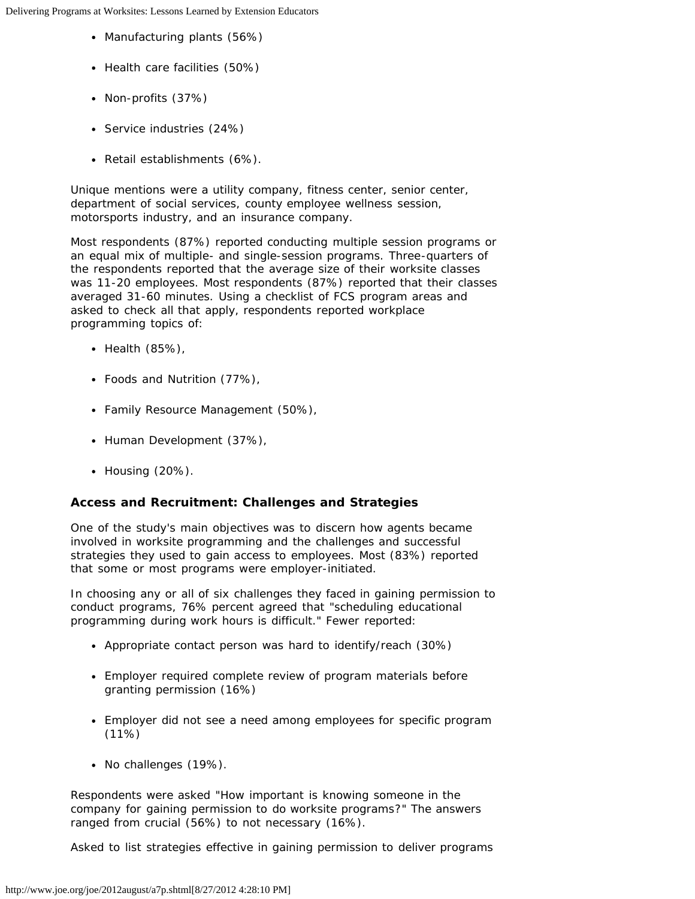Delivering Programs at Worksites: Lessons Learned by Extension Educators

- Manufacturing plants (56%)
- Health care facilities (50%)
- Non-profits (37%)
- Service industries (24%)
- Retail establishments (6%).

Unique mentions were a utility company, fitness center, senior center, department of social services, county employee wellness session, motorsports industry, and an insurance company.

Most respondents (87%) reported conducting multiple session programs or an equal mix of multiple- and single-session programs. Three-quarters of the respondents reported that the average size of their worksite classes was 11-20 employees. Most respondents (87%) reported that their classes averaged 31-60 minutes. Using a checklist of FCS program areas and asked to check all that apply, respondents reported workplace programming topics of:

- Health (85%),
- Foods and Nutrition (77%),
- Family Resource Management (50%),
- Human Development (37%),
- Housing (20%).

#### **Access and Recruitment: Challenges and Strategies**

One of the study's main objectives was to discern how agents became involved in worksite programming and the challenges and successful strategies they used to gain access to employees. Most (83%) reported that some or most programs were employer-initiated.

In choosing any or all of six challenges they faced in gaining permission to conduct programs, 76% percent agreed that "scheduling educational programming during work hours is difficult." Fewer reported:

- Appropriate contact person was hard to identify/reach (30%)
- Employer required complete review of program materials before granting permission (16%)
- Employer did not see a need among employees for specific program (11%)
- No challenges (19%).

Respondents were asked "How important is knowing someone in the company for gaining permission to do worksite programs?" The answers ranged from crucial (56%) to not necessary (16%).

Asked to list strategies effective in gaining permission to deliver programs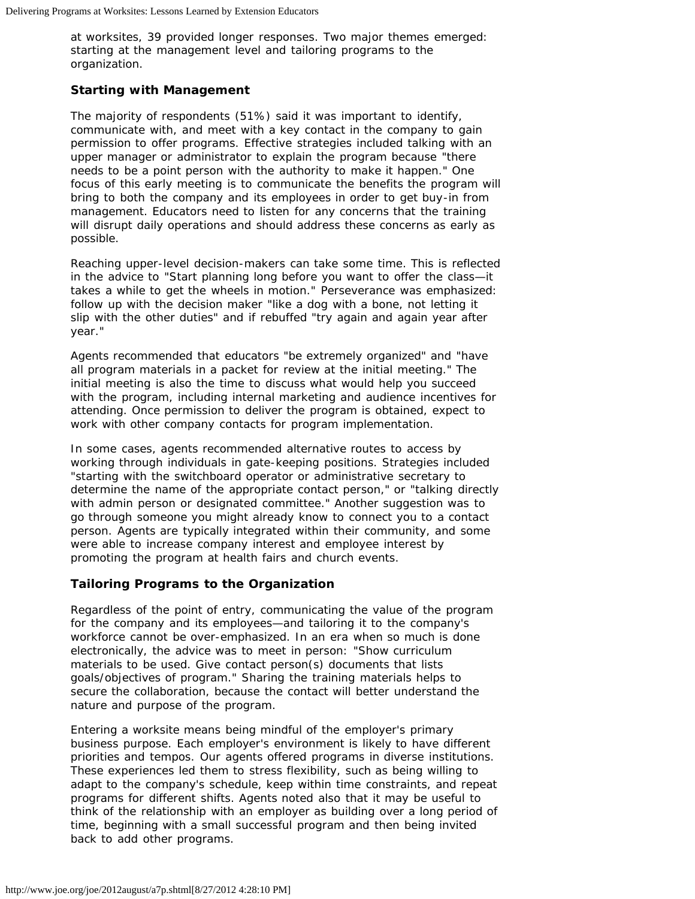at worksites, 39 provided longer responses. Two major themes emerged: starting at the management level and tailoring programs to the organization.

#### **Starting with Management**

The majority of respondents (51%) said it was important to identify, communicate with, and meet with a key contact in the company to gain permission to offer programs. Effective strategies included talking with an upper manager or administrator to explain the program because "there needs to be a point person with the authority to make it happen." One focus of this early meeting is to communicate the benefits the program will bring to both the company and its employees in order to get buy-in from management. Educators need to listen for any concerns that the training will disrupt daily operations and should address these concerns as early as possible.

Reaching upper-level decision-makers can take some time. This is reflected in the advice to "Start planning long before you want to offer the class—it takes a while to get the wheels in motion." Perseverance was emphasized: follow up with the decision maker "like a dog with a bone, not letting it slip with the other duties" and if rebuffed "try again and again year after year."

Agents recommended that educators "be extremely organized" and "have all program materials in a packet for review at the initial meeting." The initial meeting is also the time to discuss what would help you succeed with the program, including internal marketing and audience incentives for attending. Once permission to deliver the program is obtained, expect to work with other company contacts for program implementation.

In some cases, agents recommended alternative routes to access by working through individuals in gate-keeping positions. Strategies included "starting with the switchboard operator or administrative secretary to determine the name of the appropriate contact person," or "talking directly with admin person or designated committee." Another suggestion was to go through someone you might already know to connect you to a contact person. Agents are typically integrated within their community, and some were able to increase company interest and employee interest by promoting the program at health fairs and church events.

#### **Tailoring Programs to the Organization**

Regardless of the point of entry, communicating the value of the program for the company and its employees—and tailoring it to the company's workforce cannot be over-emphasized. In an era when so much is done electronically, the advice was to meet in person: "Show curriculum materials to be used. Give contact person(s) documents that lists goals/objectives of program." Sharing the training materials helps to secure the collaboration, because the contact will better understand the nature and purpose of the program.

Entering a worksite means being mindful of the employer's primary business purpose. Each employer's environment is likely to have different priorities and tempos. Our agents offered programs in diverse institutions. These experiences led them to stress flexibility, such as being willing to adapt to the company's schedule, keep within time constraints, and repeat programs for different shifts. Agents noted also that it may be useful to think of the relationship with an employer as building over a long period of time, beginning with a small successful program and then being invited back to add other programs.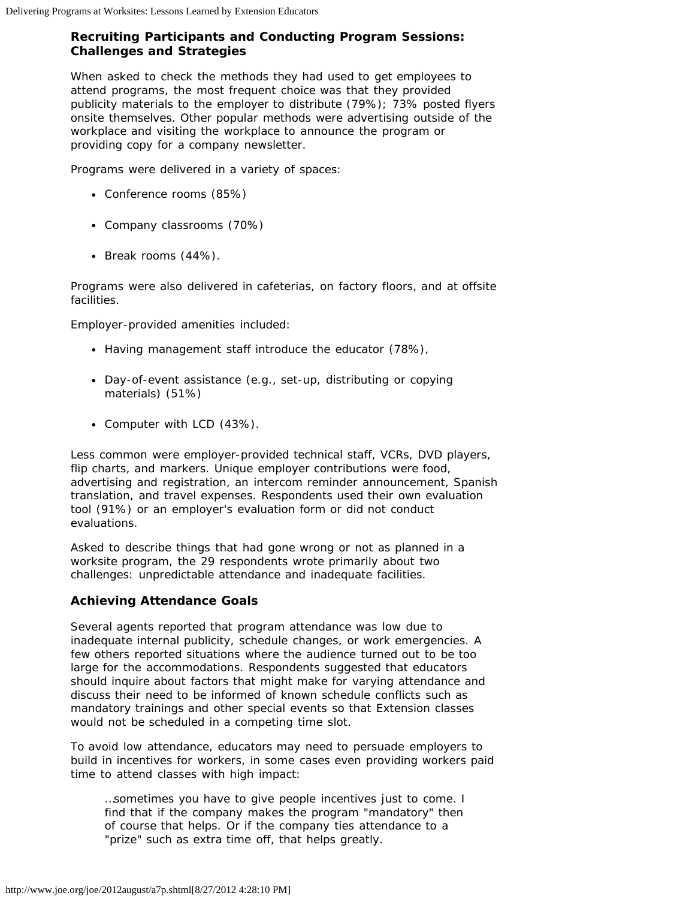### **Recruiting Participants and Conducting Program Sessions: Challenges and Strategies**

When asked to check the methods they had used to get employees to attend programs, the most frequent choice was that they provided publicity materials to the employer to distribute (79%); 73% posted flyers onsite themselves. Other popular methods were advertising outside of the workplace and visiting the workplace to announce the program or providing copy for a company newsletter.

Programs were delivered in a variety of spaces:

- Conference rooms (85%)
- Company classrooms (70%)
- Break rooms (44%).

Programs were also delivered in cafeterias, on factory floors, and at offsite facilities.

Employer-provided amenities included:

- Having management staff introduce the educator (78%),
- Day-of-event assistance (e.g., set-up, distributing or copying materials) (51%)
- Computer with LCD (43%).

Less common were employer-provided technical staff, VCRs, DVD players, flip charts, and markers. Unique employer contributions were food, advertising and registration, an intercom reminder announcement, Spanish translation, and travel expenses. Respondents used their own evaluation tool (91%) or an employer's evaluation form or did not conduct evaluations.

Asked to describe things that had gone wrong or not as planned in a worksite program, the 29 respondents wrote primarily about two challenges: unpredictable attendance and inadequate facilities.

## **Achieving Attendance Goals**

Several agents reported that program attendance was low due to inadequate internal publicity, schedule changes, or work emergencies. A few others reported situations where the audience turned out to be too large for the accommodations. Respondents suggested that educators should inquire about factors that might make for varying attendance and discuss their need to be informed of known schedule conflicts such as mandatory trainings and other special events so that Extension classes would not be scheduled in a competing time slot.

To avoid low attendance, educators may need to persuade employers to build in incentives for workers, in some cases even providing workers paid time to attend classes with high impact:

…sometimes you have to give people incentives just to come. I find that if the company makes the program "mandatory" then of course that helps. Or if the company ties attendance to a "prize" such as extra time off, that helps greatly.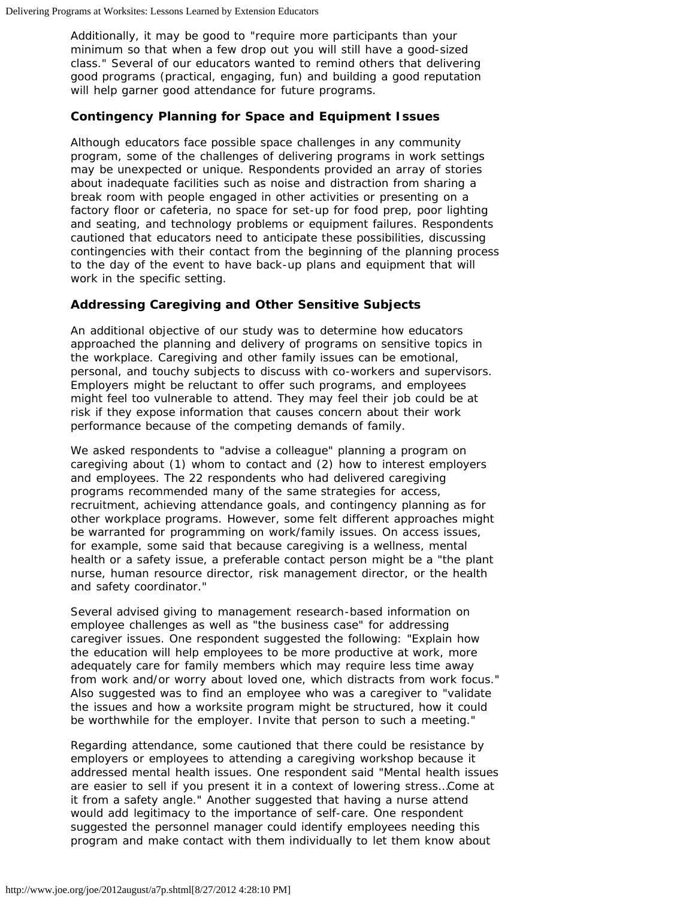Additionally, it may be good to "require more participants than your minimum so that when a few drop out you will still have a good-sized class." Several of our educators wanted to remind others that delivering good programs (practical, engaging, fun) and building a good reputation will help garner good attendance for future programs.

#### **Contingency Planning for Space and Equipment Issues**

Although educators face possible space challenges in any community program, some of the challenges of delivering programs in work settings may be unexpected or unique. Respondents provided an array of stories about inadequate facilities such as noise and distraction from sharing a break room with people engaged in other activities or presenting on a factory floor or cafeteria, no space for set-up for food prep, poor lighting and seating, and technology problems or equipment failures. Respondents cautioned that educators need to anticipate these possibilities, discussing contingencies with their contact from the beginning of the planning process to the day of the event to have back-up plans and equipment that will work in the specific setting.

#### **Addressing Caregiving and Other Sensitive Subjects**

An additional objective of our study was to determine how educators approached the planning and delivery of programs on sensitive topics in the workplace. Caregiving and other family issues can be emotional, personal, and touchy subjects to discuss with co-workers and supervisors. Employers might be reluctant to offer such programs, and employees might feel too vulnerable to attend. They may feel their job could be at risk if they expose information that causes concern about their work performance because of the competing demands of family.

We asked respondents to "advise a colleague" planning a program on caregiving about (1) whom to contact and (2) how to interest employers and employees. The 22 respondents who had delivered caregiving programs recommended many of the same strategies for access, recruitment, achieving attendance goals, and contingency planning as for other workplace programs. However, some felt different approaches might be warranted for programming on work/family issues. On access issues, for example, some said that because caregiving is a wellness, mental health or a safety issue, a preferable contact person might be a "the plant nurse, human resource director, risk management director, or the health and safety coordinator."

Several advised giving to management research-based information on employee challenges as well as "the business case" for addressing caregiver issues. One respondent suggested the following: "Explain how the education will help employees to be more productive at work, more adequately care for family members which may require less time away from work and/or worry about loved one, which distracts from work focus." Also suggested was to find an employee who was a caregiver to "validate the issues and how a worksite program might be structured, how it could be worthwhile for the employer. Invite that person to such a meeting."

Regarding attendance, some cautioned that there could be resistance by employers or employees to attending a caregiving workshop because it addressed mental health issues. One respondent said "Mental health issues are easier to sell if you present it in a context of lowering stress…Come at it from a safety angle." Another suggested that having a nurse attend would add legitimacy to the importance of self-care. One respondent suggested the personnel manager could identify employees needing this program and make contact with them individually to let them know about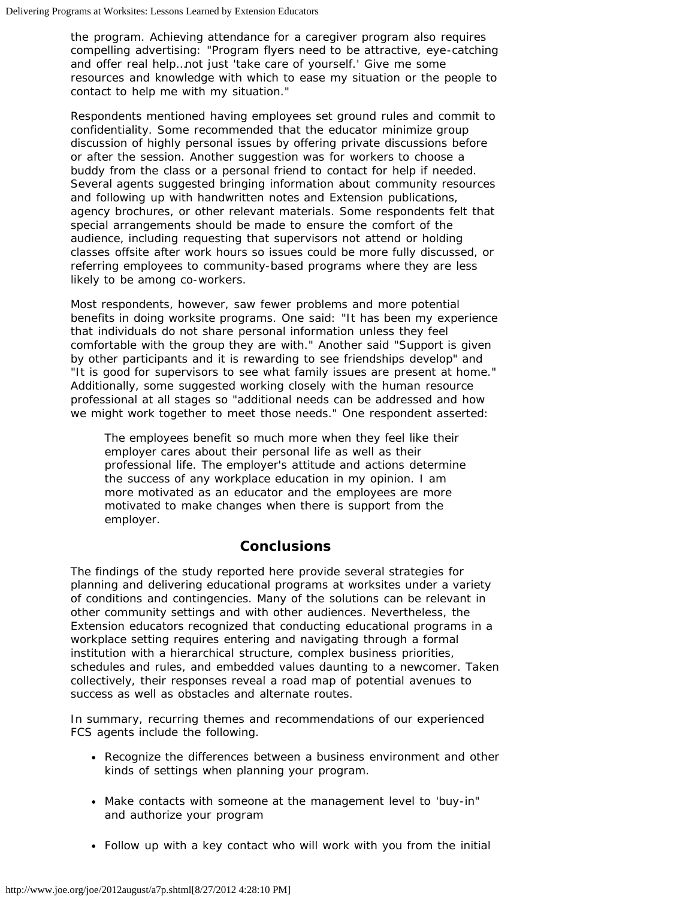the program. Achieving attendance for a caregiver program also requires compelling advertising: "Program flyers need to be attractive, eye-catching and offer real help…not just 'take care of yourself.' Give me some resources and knowledge with which to ease my situation or the people to contact to help me with my situation."

Respondents mentioned having employees set ground rules and commit to confidentiality. Some recommended that the educator minimize group discussion of highly personal issues by offering private discussions before or after the session. Another suggestion was for workers to choose a buddy from the class or a personal friend to contact for help if needed. Several agents suggested bringing information about community resources and following up with handwritten notes and Extension publications, agency brochures, or other relevant materials. Some respondents felt that special arrangements should be made to ensure the comfort of the audience, including requesting that supervisors not attend or holding classes offsite after work hours so issues could be more fully discussed, or referring employees to community-based programs where they are less likely to be among co-workers.

Most respondents, however, saw fewer problems and more potential benefits in doing worksite programs. One said: "It has been my experience that individuals do not share personal information unless they feel comfortable with the group they are with." Another said "Support is given by other participants and it is rewarding to see friendships develop" and "It is good for supervisors to see what family issues are present at home." Additionally, some suggested working closely with the human resource professional at all stages so "additional needs can be addressed and how we might work together to meet those needs." One respondent asserted:

The employees benefit so much more when they feel like their employer cares about their personal life as well as their professional life. The employer's attitude and actions determine the success of any workplace education in my opinion. I am more motivated as an educator and the employees are more motivated to make changes when there is support from the employer.

#### **Conclusions**

The findings of the study reported here provide several strategies for planning and delivering educational programs at worksites under a variety of conditions and contingencies. Many of the solutions can be relevant in other community settings and with other audiences. Nevertheless, the Extension educators recognized that conducting educational programs in a workplace setting requires entering and navigating through a formal institution with a hierarchical structure, complex business priorities, schedules and rules, and embedded values daunting to a newcomer. Taken collectively, their responses reveal a road map of potential avenues to success as well as obstacles and alternate routes.

In summary, recurring themes and recommendations of our experienced FCS agents include the following.

- Recognize the differences between a business environment and other kinds of settings when planning your program.
- Make contacts with someone at the management level to 'buy-in" and authorize your program
- Follow up with a key contact who will work with you from the initial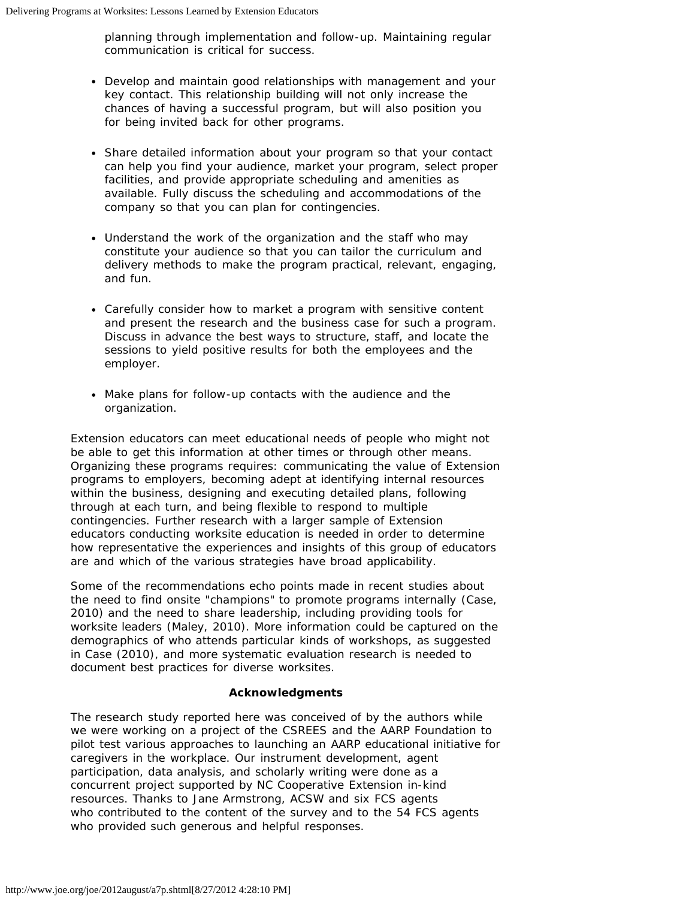planning through implementation and follow-up. Maintaining regular communication is critical for success.

- Develop and maintain good relationships with management and your key contact. This relationship building will not only increase the chances of having a successful program, but will also position you for being invited back for other programs.
- Share detailed information about your program so that your contact can help you find your audience, market your program, select proper facilities, and provide appropriate scheduling and amenities as available. Fully discuss the scheduling and accommodations of the company so that you can plan for contingencies.
- Understand the work of the organization and the staff who may constitute your audience so that you can tailor the curriculum and delivery methods to make the program practical, relevant, engaging, and fun.
- Carefully consider how to market a program with sensitive content and present the research and the business case for such a program. Discuss in advance the best ways to structure, staff, and locate the sessions to yield positive results for both the employees and the employer.
- Make plans for follow-up contacts with the audience and the organization.

Extension educators can meet educational needs of people who might not be able to get this information at other times or through other means. Organizing these programs requires: communicating the value of Extension programs to employers, becoming adept at identifying internal resources within the business, designing and executing detailed plans, following through at each turn, and being flexible to respond to multiple contingencies. Further research with a larger sample of Extension educators conducting worksite education is needed in order to determine how representative the experiences and insights of this group of educators are and which of the various strategies have broad applicability.

Some of the recommendations echo points made in recent studies about the need to find onsite "champions" to promote programs internally (Case, 2010) and the need to share leadership, including providing tools for worksite leaders (Maley, 2010). More information could be captured on the demographics of who attends particular kinds of workshops, as suggested in Case (2010), and more systematic evaluation research is needed to document best practices for diverse worksites.

#### **Acknowledgments**

The research study reported here was conceived of by the authors while we were working on a project of the CSREES and the AARP Foundation to pilot test various approaches to launching an AARP educational initiative for caregivers in the workplace. Our instrument development, agent participation, data analysis, and scholarly writing were done as a concurrent project supported by NC Cooperative Extension in-kind resources. Thanks to Jane Armstrong, ACSW and six FCS agents who contributed to the content of the survey and to the 54 FCS agents who provided such generous and helpful responses.